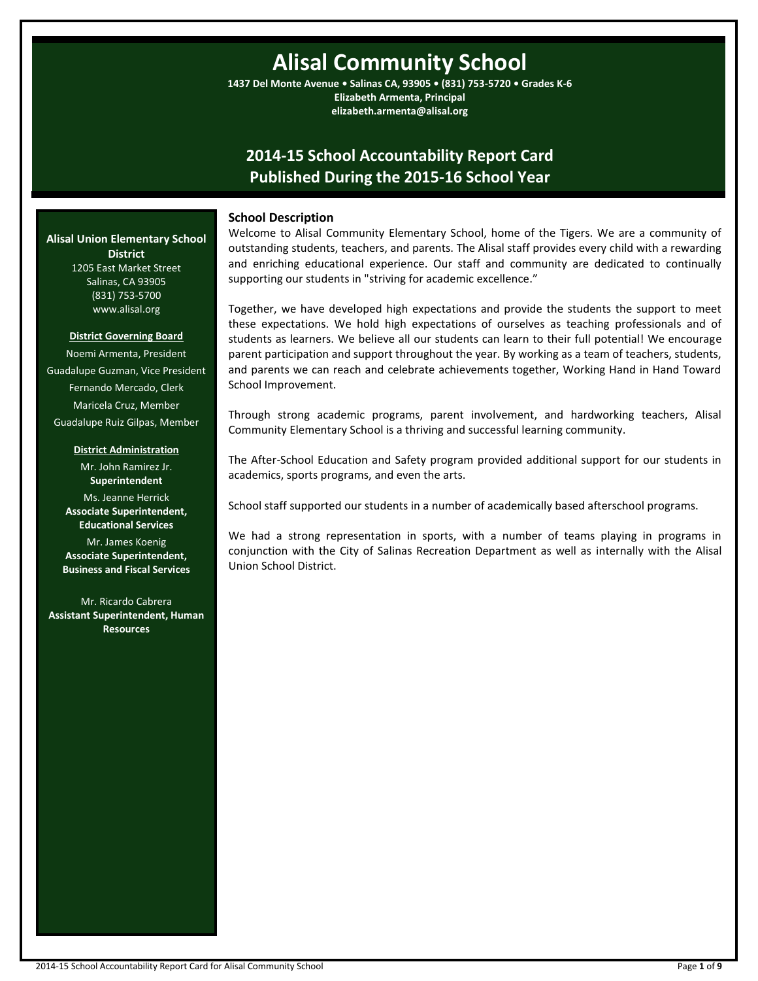# **Alisal Community School**

**1437 Del Monte Avenue • Salinas CA, 93905 • (831) 753-5720 • Grades K-6 Elizabeth Armenta, Principal elizabeth.armenta@alisal.org**

## **2014-15 School Accountability Report Card Published During the 2015-16 School Year**

#### **School Description**

Welcome to Alisal Community Elementary School, home of the Tigers. We are a community of outstanding students, teachers, and parents. The Alisal staff provides every child with a rewarding and enriching educational experience. Our staff and community are dedicated to continually supporting our students in "striving for academic excellence."

Together, we have developed high expectations and provide the students the support to meet these expectations. We hold high expectations of ourselves as teaching professionals and of students as learners. We believe all our students can learn to their full potential! We encourage parent participation and support throughout the year. By working as a team of teachers, students, and parents we can reach and celebrate achievements together, Working Hand in Hand Toward School Improvement.

Through strong academic programs, parent involvement, and hardworking teachers, Alisal Community Elementary School is a thriving and successful learning community.

The After-School Education and Safety program provided additional support for our students in academics, sports programs, and even the arts.

School staff supported our students in a number of academically based afterschool programs.

We had a strong representation in sports, with a number of teams playing in programs in conjunction with the City of Salinas Recreation Department as well as internally with the Alisal Union School District.

## **Alisal Union Elementary School District** 1205 East Market Street

Salinas, CA 93905 (831) 753-5700 www.alisal.org

#### **District Governing Board**

Noemi Armenta, President Guadalupe Guzman, Vice President Fernando Mercado, Clerk Maricela Cruz, Member Guadalupe Ruiz Gilpas, Member

#### **District Administration**

Mr. John Ramirez Jr. **Superintendent** Ms. Jeanne Herrick **Associate Superintendent, Educational Services** Mr. James Koenig **Associate Superintendent, Business and Fiscal Services**

Mr. Ricardo Cabrera **Assistant Superintendent, Human Resources**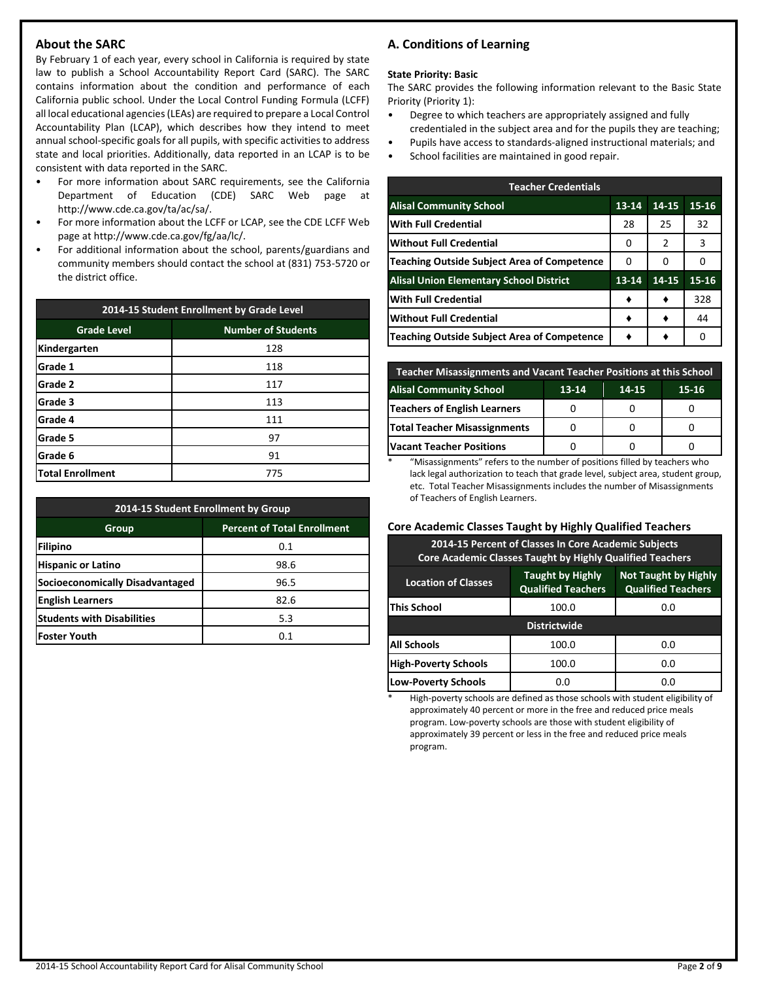## **About the SARC**

By February 1 of each year, every school in California is required by state law to publish a School Accountability Report Card (SARC). The SARC contains information about the condition and performance of each California public school. Under the Local Control Funding Formula (LCFF) all local educational agencies (LEAs) are required to prepare a Local Control Accountability Plan (LCAP), which describes how they intend to meet annual school-specific goals for all pupils, with specific activities to address state and local priorities. Additionally, data reported in an LCAP is to be consistent with data reported in the SARC.

- For more information about SARC requirements, see the California Department of Education (CDE) SARC Web page at http://www.cde.ca.gov/ta/ac/sa/.
- For more information about the LCFF or LCAP, see the CDE LCFF Web page at http://www.cde.ca.gov/fg/aa/lc/.
- For additional information about the school, parents/guardians and community members should contact the school at (831) 753-5720 or the district office.

| 2014-15 Student Enrollment by Grade Level |                           |  |  |  |
|-------------------------------------------|---------------------------|--|--|--|
| <b>Grade Level</b>                        | <b>Number of Students</b> |  |  |  |
| Kindergarten                              | 128                       |  |  |  |
| Grade 1                                   | 118                       |  |  |  |
| <b>Grade 2</b>                            | 117                       |  |  |  |
| Grade 3                                   | 113                       |  |  |  |
| Grade 4                                   | 111                       |  |  |  |
| Grade 5                                   | 97                        |  |  |  |
| Grade 6                                   | 91                        |  |  |  |
| <b>Total Enrollment</b>                   | 775                       |  |  |  |

| 2014-15 Student Enrollment by Group         |      |  |  |  |  |  |  |
|---------------------------------------------|------|--|--|--|--|--|--|
| <b>Percent of Total Enrollment</b><br>Group |      |  |  |  |  |  |  |
| Filipino                                    | 0.1  |  |  |  |  |  |  |
| <b>Hispanic or Latino</b>                   | 98.6 |  |  |  |  |  |  |
| <b>Socioeconomically Disadvantaged</b>      | 96.5 |  |  |  |  |  |  |
| <b>English Learners</b>                     | 82.6 |  |  |  |  |  |  |
| <b>Students with Disabilities</b>           | 5.3  |  |  |  |  |  |  |
| <b>Foster Youth</b>                         | 0.1  |  |  |  |  |  |  |

## **A. Conditions of Learning**

#### **State Priority: Basic**

The SARC provides the following information relevant to the Basic State Priority (Priority 1):

- Degree to which teachers are appropriately assigned and fully credentialed in the subject area and for the pupils they are teaching;
- Pupils have access to standards-aligned instructional materials; and
- School facilities are maintained in good repair.

| <b>Teacher Credentials</b>                         |           |       |           |  |  |  |  |
|----------------------------------------------------|-----------|-------|-----------|--|--|--|--|
| <b>Alisal Community School</b>                     | $13 - 14$ | 14-15 | $15 - 16$ |  |  |  |  |
| <b>With Full Credential</b>                        | 28        | 25    | 32        |  |  |  |  |
| Without Full Credential                            | 0         | 2     | 3         |  |  |  |  |
| <b>Teaching Outside Subject Area of Competence</b> | 0         | 0     | Ω         |  |  |  |  |
| <b>Alisal Union Elementary School District</b>     | $13 - 14$ | 14-15 | $15 - 16$ |  |  |  |  |
| <b>With Full Credential</b>                        |           |       | 328       |  |  |  |  |
| <b>Without Full Credential</b>                     |           |       | 44        |  |  |  |  |
| Teaching Outside Subject Area of Competence        |           |       | Ω         |  |  |  |  |

| <b>Teacher Misassignments and Vacant Teacher Positions at this School</b> |  |  |  |  |  |  |  |  |  |
|---------------------------------------------------------------------------|--|--|--|--|--|--|--|--|--|
| <b>Alisal Community School</b><br>$13 - 14$<br>14-15<br>15-16             |  |  |  |  |  |  |  |  |  |
| <b>Teachers of English Learners</b>                                       |  |  |  |  |  |  |  |  |  |
| <b>Total Teacher Misassignments</b>                                       |  |  |  |  |  |  |  |  |  |
| <b>Vacant Teacher Positions</b>                                           |  |  |  |  |  |  |  |  |  |

\* "Misassignments" refers to the number of positions filled by teachers who lack legal authorization to teach that grade level, subject area, student group, etc. Total Teacher Misassignments includes the number of Misassignments of Teachers of English Learners.

#### **Core Academic Classes Taught by Highly Qualified Teachers**

| 2014-15 Percent of Classes In Core Academic Subjects<br><b>Core Academic Classes Taught by Highly Qualified Teachers</b>                       |       |     |  |  |  |  |  |
|------------------------------------------------------------------------------------------------------------------------------------------------|-------|-----|--|--|--|--|--|
| <b>Not Taught by Highly</b><br><b>Taught by Highly</b><br><b>Location of Classes</b><br><b>Qualified Teachers</b><br><b>Qualified Teachers</b> |       |     |  |  |  |  |  |
| <b>This School</b>                                                                                                                             | 100.0 | 0.0 |  |  |  |  |  |
| <b>Districtwide</b>                                                                                                                            |       |     |  |  |  |  |  |
| All Schools<br>100.0<br>0.0                                                                                                                    |       |     |  |  |  |  |  |
| <b>High-Poverty Schools</b>                                                                                                                    | 100.0 | 0.0 |  |  |  |  |  |
| <b>Low-Poverty Schools</b>                                                                                                                     | 0.0   | 0.0 |  |  |  |  |  |

High-poverty schools are defined as those schools with student eligibility of approximately 40 percent or more in the free and reduced price meals program. Low-poverty schools are those with student eligibility of approximately 39 percent or less in the free and reduced price meals program.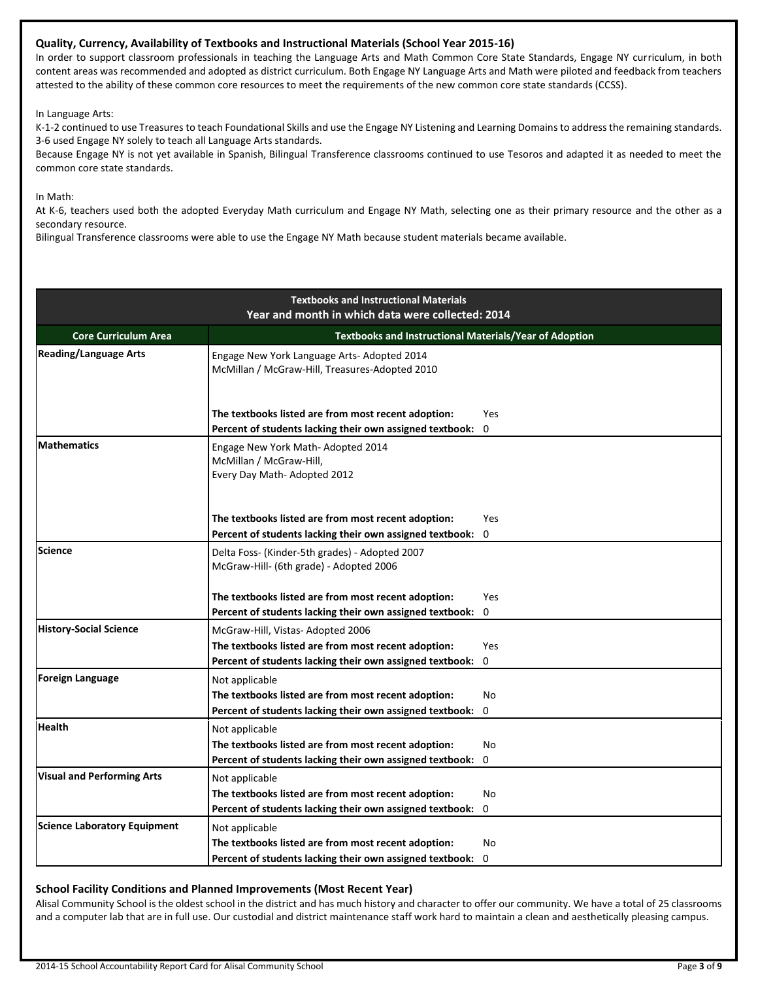#### **Quality, Currency, Availability of Textbooks and Instructional Materials (School Year 2015-16)**

In order to support classroom professionals in teaching the Language Arts and Math Common Core State Standards, Engage NY curriculum, in both content areas was recommended and adopted as district curriculum. Both Engage NY Language Arts and Math were piloted and feedback from teachers attested to the ability of these common core resources to meet the requirements of the new common core state standards (CCSS).

In Language Arts:

K-1-2 continued to use Treasures to teach Foundational Skills and use the Engage NY Listening and Learning Domains to address the remaining standards. 3-6 used Engage NY solely to teach all Language Arts standards.

Because Engage NY is not yet available in Spanish, Bilingual Transference classrooms continued to use Tesoros and adapted it as needed to meet the common core state standards.

In Math:

At K-6, teachers used both the adopted Everyday Math curriculum and Engage NY Math, selecting one as their primary resource and the other as a secondary resource.

Bilingual Transference classrooms were able to use the Engage NY Math because student materials became available.

| <b>Textbooks and Instructional Materials</b><br>Year and month in which data were collected: 2014 |                                                                                                                 |           |  |  |  |
|---------------------------------------------------------------------------------------------------|-----------------------------------------------------------------------------------------------------------------|-----------|--|--|--|
| <b>Core Curriculum Area</b>                                                                       | Textbooks and Instructional Materials/Year of Adoption                                                          |           |  |  |  |
| <b>Reading/Language Arts</b>                                                                      | Engage New York Language Arts- Adopted 2014<br>McMillan / McGraw-Hill, Treasures-Adopted 2010                   |           |  |  |  |
|                                                                                                   | The textbooks listed are from most recent adoption:<br>Percent of students lacking their own assigned textbook: | Yes<br>0  |  |  |  |
| <b>Mathematics</b>                                                                                | Engage New York Math- Adopted 2014<br>McMillan / McGraw-Hill,<br>Every Day Math- Adopted 2012                   |           |  |  |  |
|                                                                                                   | The textbooks listed are from most recent adoption:<br>Percent of students lacking their own assigned textbook: | Yes<br>0  |  |  |  |
| Science                                                                                           | Delta Foss- (Kinder-5th grades) - Adopted 2007<br>McGraw-Hill- (6th grade) - Adopted 2006                       |           |  |  |  |
|                                                                                                   | The textbooks listed are from most recent adoption:                                                             | Yes       |  |  |  |
|                                                                                                   | Percent of students lacking their own assigned textbook:                                                        | 0         |  |  |  |
| <b>History-Social Science</b>                                                                     | McGraw-Hill, Vistas-Adopted 2006                                                                                |           |  |  |  |
|                                                                                                   | The textbooks listed are from most recent adoption:                                                             | Yes       |  |  |  |
|                                                                                                   | Percent of students lacking their own assigned textbook:                                                        | 0         |  |  |  |
| <b>Foreign Language</b>                                                                           | Not applicable                                                                                                  |           |  |  |  |
|                                                                                                   | The textbooks listed are from most recent adoption:                                                             | <b>No</b> |  |  |  |
|                                                                                                   | Percent of students lacking their own assigned textbook:                                                        | $\Omega$  |  |  |  |
| <b>Health</b>                                                                                     | Not applicable                                                                                                  |           |  |  |  |
|                                                                                                   | The textbooks listed are from most recent adoption:                                                             | <b>No</b> |  |  |  |
|                                                                                                   | Percent of students lacking their own assigned textbook:                                                        | 0         |  |  |  |
| <b>Visual and Performing Arts</b>                                                                 | Not applicable                                                                                                  |           |  |  |  |
|                                                                                                   | The textbooks listed are from most recent adoption:                                                             | No        |  |  |  |
|                                                                                                   | Percent of students lacking their own assigned textbook:                                                        | 0         |  |  |  |
| <b>Science Laboratory Equipment</b>                                                               | Not applicable                                                                                                  |           |  |  |  |
|                                                                                                   | The textbooks listed are from most recent adoption:                                                             | No.       |  |  |  |
|                                                                                                   | Percent of students lacking their own assigned textbook:                                                        | 0         |  |  |  |

#### **School Facility Conditions and Planned Improvements (Most Recent Year)**

Alisal Community School is the oldest school in the district and has much history and character to offer our community. We have a total of 25 classrooms and a computer lab that are in full use. Our custodial and district maintenance staff work hard to maintain a clean and aesthetically pleasing campus.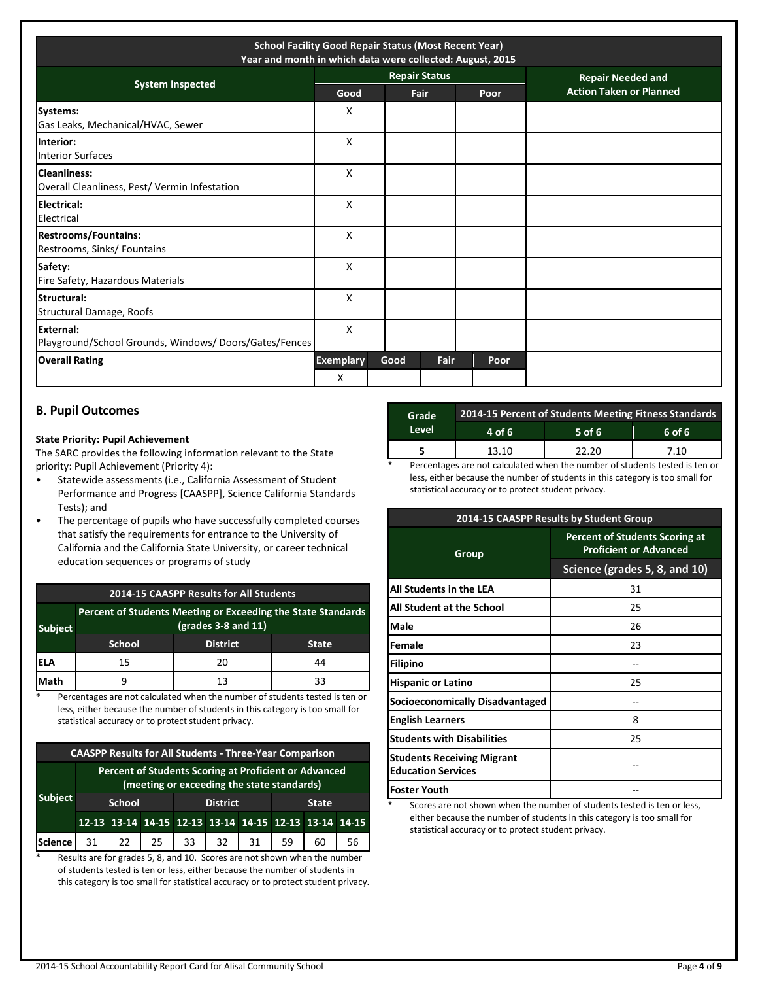| <b>School Facility Good Repair Status (Most Recent Year)</b><br>Year and month in which data were collected: August, 2015 |                       |      |                      |      |                                |  |  |
|---------------------------------------------------------------------------------------------------------------------------|-----------------------|------|----------------------|------|--------------------------------|--|--|
|                                                                                                                           |                       |      | <b>Repair Status</b> |      | <b>Repair Needed and</b>       |  |  |
| <b>System Inspected</b>                                                                                                   | Good                  |      | Fair                 | Poor | <b>Action Taken or Planned</b> |  |  |
| <b>Systems:</b><br>Gas Leaks, Mechanical/HVAC, Sewer                                                                      | х                     |      |                      |      |                                |  |  |
| Interior:<br><b>Interior Surfaces</b>                                                                                     | X                     |      |                      |      |                                |  |  |
| <b>Cleanliness:</b><br>Overall Cleanliness, Pest/ Vermin Infestation                                                      | X                     |      |                      |      |                                |  |  |
| <b>Electrical:</b><br>Electrical                                                                                          | X                     |      |                      |      |                                |  |  |
| <b>Restrooms/Fountains:</b><br>Restrooms, Sinks/ Fountains                                                                | X                     |      |                      |      |                                |  |  |
| Safety:<br>Fire Safety, Hazardous Materials                                                                               | X                     |      |                      |      |                                |  |  |
| Structural:<br><b>Structural Damage, Roofs</b>                                                                            | X                     |      |                      |      |                                |  |  |
| <b>External:</b><br>Playground/School Grounds, Windows/Doors/Gates/Fences                                                 | X                     |      |                      |      |                                |  |  |
| <b>Overall Rating</b>                                                                                                     | <b>Exemplary</b><br>X | Good | Fair                 | Poor |                                |  |  |

### **B. Pupil Outcomes**

#### **State Priority: Pupil Achievement**

The SARC provides the following information relevant to the State priority: Pupil Achievement (Priority 4):

- Statewide assessments (i.e., California Assessment of Student Performance and Progress [CAASPP], Science California Standards Tests); and
- The percentage of pupils who have successfully completed courses that satisfy the requirements for entrance to the University of California and the California State University, or career technical education sequences or programs of study

#### **2014-15 CAASPP Results for All Students**

| <b>Subject</b> |        | Percent of Students Meeting or Exceeding the State Standards<br>$(grades 3-8 and 11)$ |              |
|----------------|--------|---------------------------------------------------------------------------------------|--------------|
|                | School | <b>District</b>                                                                       | <b>State</b> |
| IELA           | 15     | 20                                                                                    | 44           |
| Math           |        | 13                                                                                    | २२           |

\* Percentages are not calculated when the number of students tested is ten or less, either because the number of students in this category is too small for statistical accuracy or to protect student privacy.

| <b>CAASPP Results for All Students - Three-Year Comparison</b> |                                                                                                     |                                                  |    |    |                                                       |    |    |    |    |
|----------------------------------------------------------------|-----------------------------------------------------------------------------------------------------|--------------------------------------------------|----|----|-------------------------------------------------------|----|----|----|----|
|                                                                | Percent of Students Scoring at Proficient or Advanced<br>(meeting or exceeding the state standards) |                                                  |    |    |                                                       |    |    |    |    |
| <b>Subject</b>                                                 |                                                                                                     | <b>District</b><br><b>School</b><br><b>State</b> |    |    |                                                       |    |    |    |    |
|                                                                |                                                                                                     |                                                  |    |    | 12-13 13-14 14-15 12-13 13-14 14-15 12-13 13-14 14-15 |    |    |    |    |
| Science                                                        | 31                                                                                                  | 22                                               | 25 | 33 | 32                                                    | 31 | 59 | 60 | 56 |

\* Results are for grades 5, 8, and 10. Scores are not shown when the number of students tested is ten or less, either because the number of students in this category is too small for statistical accuracy or to protect student privacy.

| Grade | 2014-15 Percent of Students Meeting Fitness Standards |          |        |  |  |  |
|-------|-------------------------------------------------------|----------|--------|--|--|--|
| Level | 4 of 6                                                | $5$ of 6 | 6 of 6 |  |  |  |
|       | 13.10                                                 | 22.20    | 7.10   |  |  |  |
|       |                                                       |          |        |  |  |  |

Percentages are not calculated when the number of students tested is ten or less, either because the number of students in this category is too small for statistical accuracy or to protect student privacy.

|                                                                | 2014-15 CAASPP Results by Student Group                                |
|----------------------------------------------------------------|------------------------------------------------------------------------|
| Group                                                          | <b>Percent of Students Scoring at</b><br><b>Proficient or Advanced</b> |
|                                                                | Science (grades 5, 8, and 10)                                          |
| All Students in the LEA                                        | 31                                                                     |
| All Student at the School                                      | 25                                                                     |
| Male                                                           | 26                                                                     |
| Female                                                         | 23                                                                     |
| <b>Filipino</b>                                                |                                                                        |
| <b>Hispanic or Latino</b>                                      | 25                                                                     |
| Socioeconomically Disadvantaged                                |                                                                        |
| <b>English Learners</b>                                        | 8                                                                      |
| <b>Students with Disabilities</b>                              | 25                                                                     |
| <b>Students Receiving Migrant</b><br><b>Education Services</b> |                                                                        |
| <b>Foster Youth</b>                                            |                                                                        |

Scores are not shown when the number of students tested is ten or less, either because the number of students in this category is too small for statistical accuracy or to protect student privacy.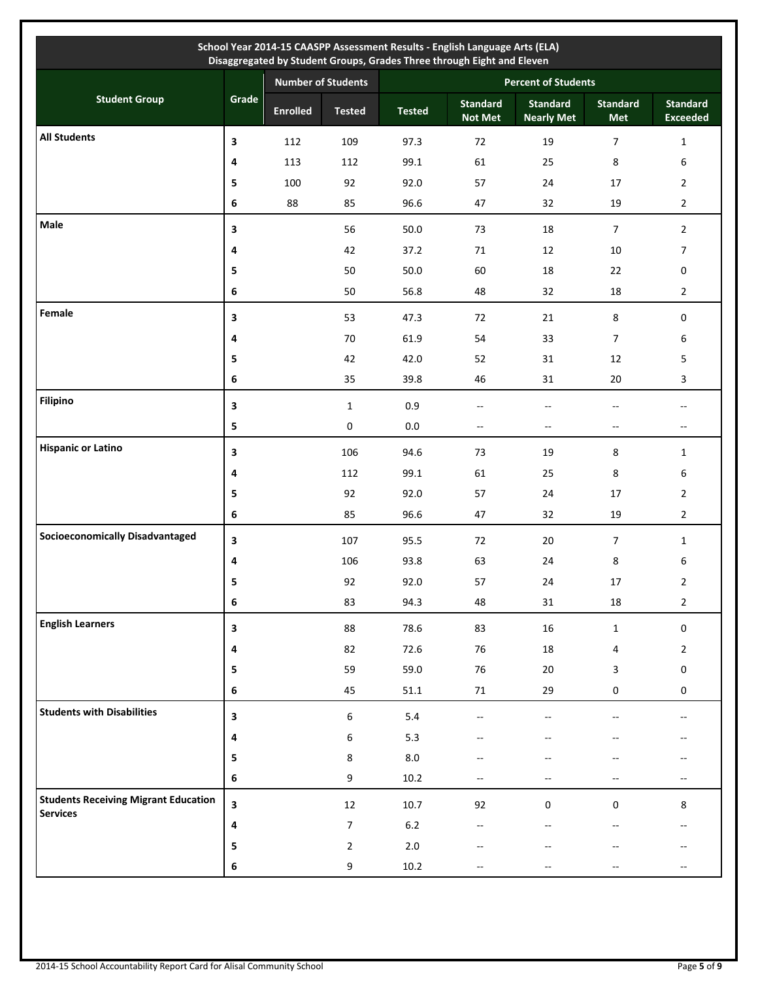| School Year 2014-15 CAASPP Assessment Results - English Language Arts (ELA)<br>Disaggregated by Student Groups, Grades Three through Eight and Eleven |                         |                           |                  |               |                                   |                                      |                               |                                                     |
|-------------------------------------------------------------------------------------------------------------------------------------------------------|-------------------------|---------------------------|------------------|---------------|-----------------------------------|--------------------------------------|-------------------------------|-----------------------------------------------------|
|                                                                                                                                                       |                         | <b>Number of Students</b> |                  |               | <b>Percent of Students</b>        |                                      |                               |                                                     |
| <b>Student Group</b>                                                                                                                                  | Grade                   | <b>Enrolled</b>           | <b>Tested</b>    | <b>Tested</b> | <b>Standard</b><br><b>Not Met</b> | <b>Standard</b><br><b>Nearly Met</b> | <b>Standard</b><br><b>Met</b> | <b>Standard</b><br><b>Exceeded</b>                  |
| <b>All Students</b>                                                                                                                                   | 3                       | 112                       | 109              | 97.3          | 72                                | 19                                   | 7                             | $\mathbf{1}$                                        |
|                                                                                                                                                       | 4                       | 113                       | 112              | 99.1          | 61                                | 25                                   | 8                             | 6                                                   |
|                                                                                                                                                       | 5                       | 100                       | 92               | 92.0          | 57                                | 24                                   | 17                            | $\overline{2}$                                      |
|                                                                                                                                                       | 6                       | 88                        | 85               | 96.6          | 47                                | 32                                   | 19                            | $\overline{2}$                                      |
| Male                                                                                                                                                  | 3                       |                           | 56               | 50.0          | 73                                | 18                                   | $\overline{7}$                | $\overline{2}$                                      |
|                                                                                                                                                       | 4                       |                           | 42               | 37.2          | 71                                | 12                                   | 10                            | $\overline{7}$                                      |
|                                                                                                                                                       | 5                       |                           | 50               | 50.0          | 60                                | 18                                   | 22                            | 0                                                   |
|                                                                                                                                                       | 6                       |                           | 50               | 56.8          | 48                                | 32                                   | 18                            | $\overline{2}$                                      |
| Female                                                                                                                                                | 3                       |                           | 53               | 47.3          | 72                                | 21                                   | 8                             | $\mathbf 0$                                         |
|                                                                                                                                                       | 4                       |                           | $70\,$           | 61.9          | 54                                | 33                                   | $\overline{7}$                | 6                                                   |
|                                                                                                                                                       | 5                       |                           | 42               | 42.0          | 52                                | 31                                   | 12                            | 5                                                   |
|                                                                                                                                                       | 6                       |                           | 35               | 39.8          | 46                                | 31                                   | 20                            | 3                                                   |
| <b>Filipino</b>                                                                                                                                       | 3                       |                           | $\mathbf{1}$     | 0.9           | $-$                               | $-$                                  | $-$                           | $\overline{\phantom{a}}$                            |
|                                                                                                                                                       | 5                       |                           | $\mathbf 0$      | $0.0\,$       | $-$                               | $\overline{\phantom{a}}$             | --                            | $\qquad \qquad -$                                   |
| <b>Hispanic or Latino</b>                                                                                                                             | 3                       |                           | 106              | 94.6          | 73                                | 19                                   | 8                             | $\mathbf{1}$                                        |
|                                                                                                                                                       | 4                       |                           | 112              | 99.1          | 61                                | 25                                   | 8                             | 6                                                   |
|                                                                                                                                                       | 5                       |                           | 92               | 92.0          | 57                                | 24                                   | 17                            | $\overline{2}$                                      |
|                                                                                                                                                       | 6                       |                           | 85               | 96.6          | 47                                | 32                                   | 19                            | $\overline{2}$                                      |
| <b>Socioeconomically Disadvantaged</b>                                                                                                                | 3                       |                           | 107              | 95.5          | 72                                | 20                                   | $\overline{7}$                | $\mathbf{1}$                                        |
|                                                                                                                                                       | 4                       |                           | 106              | 93.8          | 63                                | 24                                   | 8                             | 6                                                   |
|                                                                                                                                                       | э.                      |                           | 92               | 92.0          | 57                                | 24                                   | 17                            | $\overline{c}$                                      |
|                                                                                                                                                       | 6                       |                           | 83               | 94.3          | 48                                | 31                                   | 18                            | $\overline{2}$                                      |
| <b>English Learners</b>                                                                                                                               | $\overline{\mathbf{3}}$ |                           | 88               | 78.6          | 83                                | $16\,$                               | $\mathbf 1$                   | $\mathbf 0$                                         |
|                                                                                                                                                       | 4                       |                           | 82               | 72.6          | 76                                | 18                                   | 4                             | $\overline{2}$                                      |
|                                                                                                                                                       | 5                       |                           | 59               | 59.0          | 76                                | $20\,$                               | 3                             | $\boldsymbol{0}$                                    |
|                                                                                                                                                       | 6                       |                           | 45               | 51.1          | $71\,$                            | 29                                   | $\mathbf 0$                   | $\mathbf 0$                                         |
| <b>Students with Disabilities</b>                                                                                                                     | 3                       |                           | $\boldsymbol{6}$ | 5.4           | $-$                               | $\overline{\phantom{a}}$             |                               | $- -$                                               |
|                                                                                                                                                       | 4                       |                           | 6                | 5.3           |                                   |                                      |                               |                                                     |
|                                                                                                                                                       | 5                       |                           | 8                | 8.0           |                                   |                                      |                               |                                                     |
|                                                                                                                                                       | 6                       |                           | 9                | 10.2          | --                                |                                      |                               | $\hspace{0.05cm} -\hspace{0.05cm} -\hspace{0.05cm}$ |
| <b>Students Receiving Migrant Education</b>                                                                                                           | 3                       |                           | $12\,$           | 10.7          | 92                                | $\pmb{0}$                            | 0                             | 8                                                   |
| <b>Services</b>                                                                                                                                       | 4                       |                           | 7                | $6.2\,$       |                                   |                                      |                               |                                                     |
|                                                                                                                                                       | 5                       |                           | $\overline{2}$   | 2.0           |                                   |                                      |                               |                                                     |
|                                                                                                                                                       | 6                       |                           | 9                | $10.2\,$      | --                                |                                      |                               |                                                     |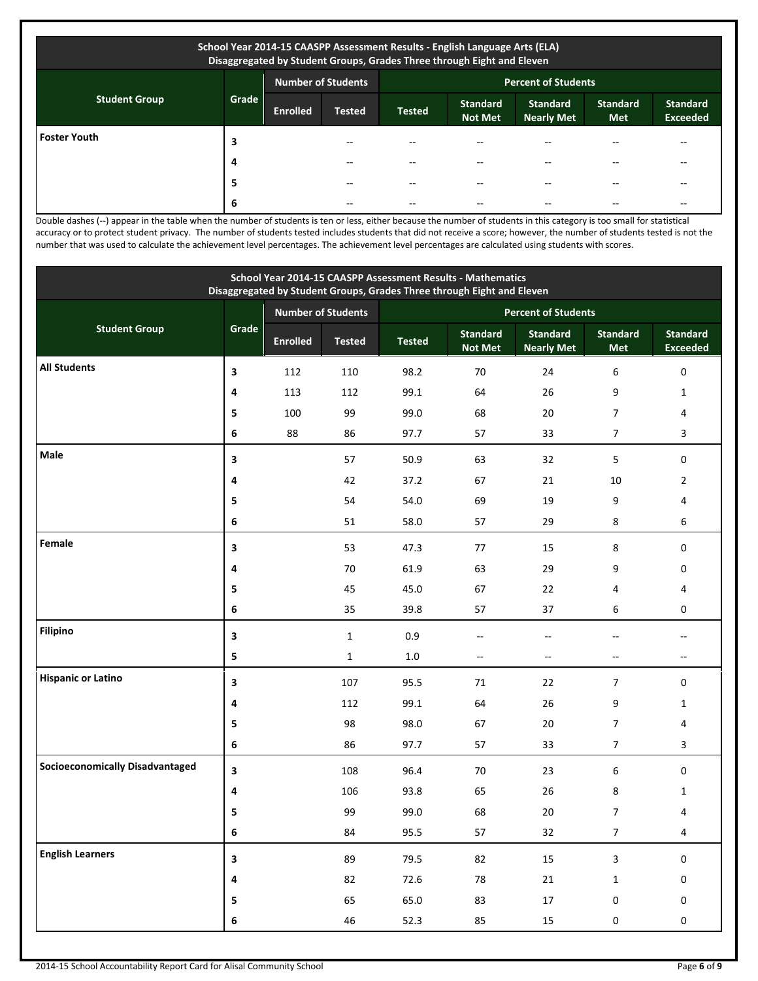| School Year 2014-15 CAASPP Assessment Results - English Language Arts (ELA)<br>Disaggregated by Student Groups, Grades Three through Eight and Eleven |                                                         |                 |               |               |                                   |                                      |                               |                                    |
|-------------------------------------------------------------------------------------------------------------------------------------------------------|---------------------------------------------------------|-----------------|---------------|---------------|-----------------------------------|--------------------------------------|-------------------------------|------------------------------------|
|                                                                                                                                                       | <b>Number of Students</b><br><b>Percent of Students</b> |                 |               |               |                                   |                                      |                               |                                    |
| <b>Student Group</b>                                                                                                                                  | Grade                                                   | <b>Enrolled</b> | <b>Tested</b> | <b>Tested</b> | <b>Standard</b><br><b>Not Met</b> | <b>Standard</b><br><b>Nearly Met</b> | <b>Standard</b><br><b>Met</b> | <b>Standard</b><br><b>Exceeded</b> |
| <b>Foster Youth</b>                                                                                                                                   | 3                                                       |                 |               |               |                                   |                                      |                               |                                    |
|                                                                                                                                                       | 4                                                       |                 |               |               | --                                |                                      |                               |                                    |
|                                                                                                                                                       | 5                                                       |                 | --            |               | --                                |                                      |                               | --                                 |
|                                                                                                                                                       | 6                                                       |                 | --            |               | --                                |                                      |                               | --                                 |

Double dashes (--) appear in the table when the number of students is ten or less, either because the number of students in this category is too small for statistical accuracy or to protect student privacy. The number of students tested includes students that did not receive a score; however, the number of students tested is not the number that was used to calculate the achievement level percentages. The achievement level percentages are calculated using students with scores.

| School Year 2014-15 CAASPP Assessment Results - Mathematics<br>Disaggregated by Student Groups, Grades Three through Eight and Eleven |              |                 |                           |               |                                   |                                      |                          |                                    |
|---------------------------------------------------------------------------------------------------------------------------------------|--------------|-----------------|---------------------------|---------------|-----------------------------------|--------------------------------------|--------------------------|------------------------------------|
|                                                                                                                                       |              |                 | <b>Number of Students</b> |               |                                   | <b>Percent of Students</b>           |                          |                                    |
| <b>Student Group</b>                                                                                                                  | Grade        | <b>Enrolled</b> | <b>Tested</b>             | <b>Tested</b> | <b>Standard</b><br><b>Not Met</b> | <b>Standard</b><br><b>Nearly Met</b> | <b>Standard</b><br>Met   | <b>Standard</b><br><b>Exceeded</b> |
| <b>All Students</b>                                                                                                                   | 3            | 112             | 110                       | 98.2          | 70                                | 24                                   | 6                        | $\boldsymbol{0}$                   |
|                                                                                                                                       | 4            | 113             | 112                       | 99.1          | 64                                | 26                                   | 9                        | $\mathbf{1}$                       |
|                                                                                                                                       | 5            | 100             | 99                        | 99.0          | 68                                | 20                                   | 7                        | 4                                  |
|                                                                                                                                       | 6            | 88              | 86                        | 97.7          | 57                                | 33                                   | $\overline{7}$           | 3                                  |
| Male                                                                                                                                  | 3            |                 | 57                        | 50.9          | 63                                | 32                                   | 5                        | $\pmb{0}$                          |
|                                                                                                                                       | 4            |                 | 42                        | 37.2          | 67                                | 21                                   | 10                       | $\overline{2}$                     |
|                                                                                                                                       | 5            |                 | 54                        | 54.0          | 69                                | 19                                   | 9                        | 4                                  |
|                                                                                                                                       | 6            |                 | 51                        | 58.0          | 57                                | 29                                   | 8                        | 6                                  |
| Female                                                                                                                                | 3            |                 | 53                        | 47.3          | 77                                | 15                                   | 8                        | $\pmb{0}$                          |
|                                                                                                                                       | 4            |                 | 70                        | 61.9          | 63                                | 29                                   | 9                        | 0                                  |
|                                                                                                                                       | 5            |                 | 45                        | 45.0          | 67                                | 22                                   | 4                        | 4                                  |
|                                                                                                                                       | 6            |                 | 35                        | 39.8          | 57                                | 37                                   | 6                        | 0                                  |
| <b>Filipino</b>                                                                                                                       | 3            |                 | $\mathbf{1}$              | 0.9           | $-$                               | $-$                                  |                          | $\sim$                             |
|                                                                                                                                       | 5            |                 | $\mathbf{1}$              | 1.0           | $\overline{\phantom{a}}$          | $-$                                  | $\overline{\phantom{a}}$ | $\overline{a}$                     |
| <b>Hispanic or Latino</b>                                                                                                             | 3            |                 | 107                       | 95.5          | 71                                | 22                                   | $\overline{7}$           | $\mathbf 0$                        |
|                                                                                                                                       | 4            |                 | 112                       | 99.1          | 64                                | 26                                   | 9                        | $\mathbf{1}$                       |
|                                                                                                                                       | 5            |                 | 98                        | 98.0          | 67                                | 20                                   | $\overline{7}$           | 4                                  |
|                                                                                                                                       | 6            |                 | 86                        | 97.7          | 57                                | 33                                   | $\overline{7}$           | 3                                  |
| <b>Socioeconomically Disadvantaged</b>                                                                                                | 3            |                 | 108                       | 96.4          | 70                                | 23                                   | 6                        | $\mathbf 0$                        |
|                                                                                                                                       | 4            |                 | 106                       | 93.8          | 65                                | 26                                   | 8                        | $\mathbf{1}$                       |
|                                                                                                                                       | 5            |                 | 99                        | 99.0          | 68                                | 20                                   | 7                        | 4                                  |
|                                                                                                                                       | $\bf 6$      |                 | 84                        | 95.5          | 57                                | $32\,$                               | $\overline{7}$           | $\overline{4}$                     |
| <b>English Learners</b>                                                                                                               | $\mathbf{3}$ |                 | 89                        | 79.5          | 82                                | 15                                   | 3                        | $\mathbf 0$                        |
|                                                                                                                                       | $\pmb{4}$    |                 | 82                        | 72.6          | ${\bf 78}$                        | $21\,$                               | $\mathbf 1$              | $\pmb{0}$                          |
|                                                                                                                                       | 5            |                 | 65                        | 65.0          | 83                                | $17\,$                               | $\pmb{0}$                | $\mathbf 0$                        |
|                                                                                                                                       | 6            |                 | $46\,$                    | 52.3          | 85                                | $15\,$                               | $\pmb{0}$                | $\boldsymbol{0}$                   |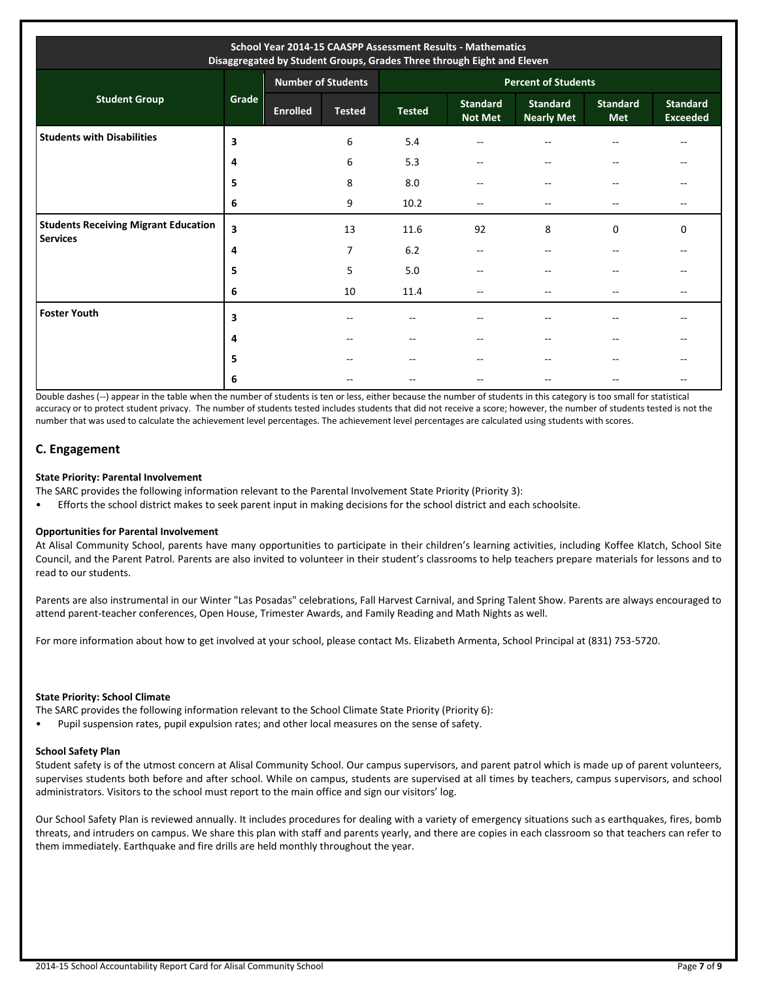| School Year 2014-15 CAASPP Assessment Results - Mathematics<br>Disaggregated by Student Groups, Grades Three through Eight and Eleven |       |                           |               |                            |                                   |                                      |                               |                                    |  |
|---------------------------------------------------------------------------------------------------------------------------------------|-------|---------------------------|---------------|----------------------------|-----------------------------------|--------------------------------------|-------------------------------|------------------------------------|--|
|                                                                                                                                       |       | <b>Number of Students</b> |               | <b>Percent of Students</b> |                                   |                                      |                               |                                    |  |
| <b>Student Group</b>                                                                                                                  | Grade | <b>Enrolled</b>           | <b>Tested</b> | <b>Tested</b>              | <b>Standard</b><br><b>Not Met</b> | <b>Standard</b><br><b>Nearly Met</b> | <b>Standard</b><br><b>Met</b> | <b>Standard</b><br><b>Exceeded</b> |  |
| <b>Students with Disabilities</b>                                                                                                     | 3     |                           | 6             | 5.4                        | $-$                               | --                                   | $-$                           | --                                 |  |
|                                                                                                                                       | 4     |                           | 6             | 5.3                        | --                                | $- -$                                | --                            | --                                 |  |
|                                                                                                                                       | 5     |                           | 8             | 8.0                        | $-$                               | $\sim$ $\sim$                        | $- -$                         |                                    |  |
|                                                                                                                                       | 6     |                           | 9             | 10.2                       | $-$                               | $- -$                                | $-$                           | $-$                                |  |
| <b>Students Receiving Migrant Education</b><br><b>Services</b>                                                                        | 3     |                           | 13            | 11.6                       | 92                                | 8                                    | 0                             | $\Omega$                           |  |
|                                                                                                                                       | 4     |                           | 7             | 6.2                        | $-$                               |                                      | --                            |                                    |  |
|                                                                                                                                       | 5     |                           | 5             | 5.0                        | --                                | $-$                                  | $- -$                         |                                    |  |
|                                                                                                                                       | 6     |                           | 10            | 11.4                       | $-$                               |                                      | $-$                           | --                                 |  |
| <b>Foster Youth</b>                                                                                                                   | 3     |                           | --            | $- -$                      | $-$                               |                                      | --                            | $-$                                |  |
|                                                                                                                                       | 4     |                           | $-$           | $- -$                      | $-$                               |                                      | --                            |                                    |  |
|                                                                                                                                       | 5     |                           |               | --                         | --                                |                                      | --                            |                                    |  |
|                                                                                                                                       | 6     |                           |               | --                         | $-$                               |                                      |                               |                                    |  |

Double dashes (--) appear in the table when the number of students is ten or less, either because the number of students in this category is too small for statistical accuracy or to protect student privacy. The number of students tested includes students that did not receive a score; however, the number of students tested is not the number that was used to calculate the achievement level percentages. The achievement level percentages are calculated using students with scores.

## **C. Engagement**

#### **State Priority: Parental Involvement**

The SARC provides the following information relevant to the Parental Involvement State Priority (Priority 3):

• Efforts the school district makes to seek parent input in making decisions for the school district and each schoolsite.

#### **Opportunities for Parental Involvement**

At Alisal Community School, parents have many opportunities to participate in their children's learning activities, including Koffee Klatch, School Site Council, and the Parent Patrol. Parents are also invited to volunteer in their student's classrooms to help teachers prepare materials for lessons and to read to our students.

Parents are also instrumental in our Winter "Las Posadas" celebrations, Fall Harvest Carnival, and Spring Talent Show. Parents are always encouraged to attend parent-teacher conferences, Open House, Trimester Awards, and Family Reading and Math Nights as well.

For more information about how to get involved at your school, please contact Ms. Elizabeth Armenta, School Principal at (831) 753-5720.

#### **State Priority: School Climate**

The SARC provides the following information relevant to the School Climate State Priority (Priority 6):

• Pupil suspension rates, pupil expulsion rates; and other local measures on the sense of safety.

## **School Safety Plan**

Student safety is of the utmost concern at Alisal Community School. Our campus supervisors, and parent patrol which is made up of parent volunteers, supervises students both before and after school. While on campus, students are supervised at all times by teachers, campus supervisors, and school administrators. Visitors to the school must report to the main office and sign our visitors' log.

Our School Safety Plan is reviewed annually. It includes procedures for dealing with a variety of emergency situations such as earthquakes, fires, bomb threats, and intruders on campus. We share this plan with staff and parents yearly, and there are copies in each classroom so that teachers can refer to them immediately. Earthquake and fire drills are held monthly throughout the year.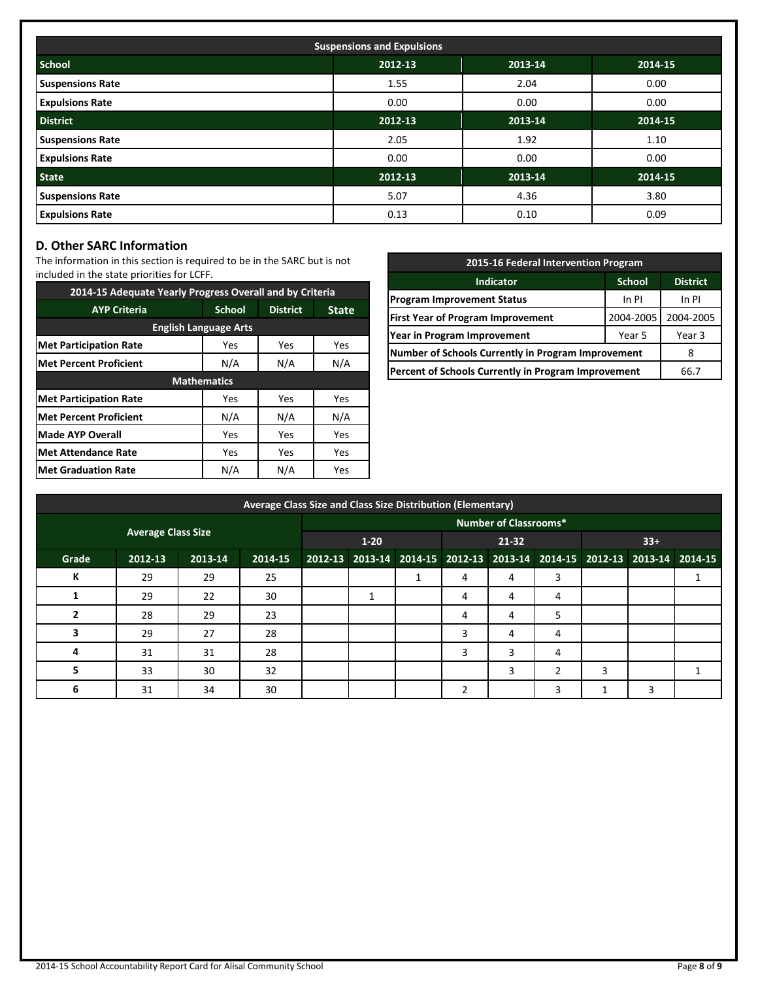| <b>Suspensions and Expulsions</b> |                               |         |             |  |  |  |  |  |
|-----------------------------------|-------------------------------|---------|-------------|--|--|--|--|--|
| <b>School</b>                     | 2012-13<br>2013-14<br>2014-15 |         |             |  |  |  |  |  |
| <b>Suspensions Rate</b>           | 1.55                          | 2.04    | 0.00        |  |  |  |  |  |
| <b>Expulsions Rate</b>            | 0.00                          | 0.00    | 0.00        |  |  |  |  |  |
| <b>District</b>                   | 2012-13                       | 2013-14 | $2014 - 15$ |  |  |  |  |  |
| <b>Suspensions Rate</b>           | 2.05                          | 1.92    | 1.10        |  |  |  |  |  |
| <b>Expulsions Rate</b>            | 0.00                          | 0.00    | 0.00        |  |  |  |  |  |
| <b>State</b>                      | 2012-13                       | 2013-14 | 2014-15     |  |  |  |  |  |
| <b>Suspensions Rate</b>           | 5.07                          | 4.36    | 3.80        |  |  |  |  |  |
| <b>Expulsions Rate</b>            | 0.13                          | 0.10    | 0.09        |  |  |  |  |  |

## **D. Other SARC Information**

The information in this section is required to be in the SARC but is not included in the state priorities for LCFF.

| 2014-15 Adequate Yearly Progress Overall and by Criteria |                    |                 |              |  |  |  |  |  |
|----------------------------------------------------------|--------------------|-----------------|--------------|--|--|--|--|--|
| <b>AYP Criteria</b>                                      | <b>School</b>      | <b>District</b> | <b>State</b> |  |  |  |  |  |
| <b>English Language Arts</b>                             |                    |                 |              |  |  |  |  |  |
| <b>Met Participation Rate</b>                            | Yes                | Yes             | Yes          |  |  |  |  |  |
| <b>Met Percent Proficient</b>                            | N/A                | N/A             |              |  |  |  |  |  |
|                                                          | <b>Mathematics</b> |                 |              |  |  |  |  |  |
| <b>Met Participation Rate</b>                            | Yes                | Yes             | Yes          |  |  |  |  |  |
| <b>Met Percent Proficient</b>                            | N/A                | N/A             | N/A          |  |  |  |  |  |
| <b>Made AYP Overall</b>                                  | Yes                | Yes             | Yes          |  |  |  |  |  |
| <b>Met Attendance Rate</b>                               | Yes                | Yes             | Yes          |  |  |  |  |  |
| <b>Met Graduation Rate</b>                               | N/A                | N/A             | <b>Yes</b>   |  |  |  |  |  |

| 2015-16 Federal Intervention Program                |                 |           |  |  |  |
|-----------------------------------------------------|-----------------|-----------|--|--|--|
| <b>Indicator</b>                                    | <b>District</b> |           |  |  |  |
| <b>Program Improvement Status</b>                   | In PI           |           |  |  |  |
| <b>First Year of Program Improvement</b>            | 2004-2005       | 2004-2005 |  |  |  |
| Year in Program Improvement                         | Year 3          |           |  |  |  |
| Number of Schools Currently in Program Improvement  |                 |           |  |  |  |
| Percent of Schools Currently in Program Improvement | 66.7            |           |  |  |  |

| Average Class Size and Class Size Distribution (Elementary) |                           |         |         |          |                              |  |                                                                         |   |               |       |   |  |
|-------------------------------------------------------------|---------------------------|---------|---------|----------|------------------------------|--|-------------------------------------------------------------------------|---|---------------|-------|---|--|
|                                                             |                           |         |         |          | <b>Number of Classrooms*</b> |  |                                                                         |   |               |       |   |  |
|                                                             | <b>Average Class Size</b> |         |         | $1 - 20$ |                              |  | $21 - 32$                                                               |   |               | $33+$ |   |  |
| Grade                                                       | 2012-13                   | 2013-14 | 2014-15 |          |                              |  | 2012-13 2013-14 2014-15 2012-13 2013-14 2014-15 2012-13 2013-14 2014-15 |   |               |       |   |  |
| К                                                           | 29                        | 29      | 25      |          |                              |  | 4                                                                       | 4 | 3             |       |   |  |
|                                                             | 29                        | 22      | 30      |          |                              |  | 4                                                                       | 4 | 4             |       |   |  |
|                                                             | 28                        | 29      | 23      |          |                              |  | 4                                                                       | 4 | 5             |       |   |  |
|                                                             | 29                        | 27      | 28      |          |                              |  | 3                                                                       | 4 | 4             |       |   |  |
| 4                                                           | 31                        | 31      | 28      |          |                              |  | 3                                                                       | 3 | 4             |       |   |  |
| 5                                                           | 33                        | 30      | 32      |          |                              |  |                                                                         | 3 | $\mathcal{P}$ | 3     |   |  |
| 6                                                           | 31                        | 34      | 30      |          |                              |  |                                                                         |   |               |       | 3 |  |